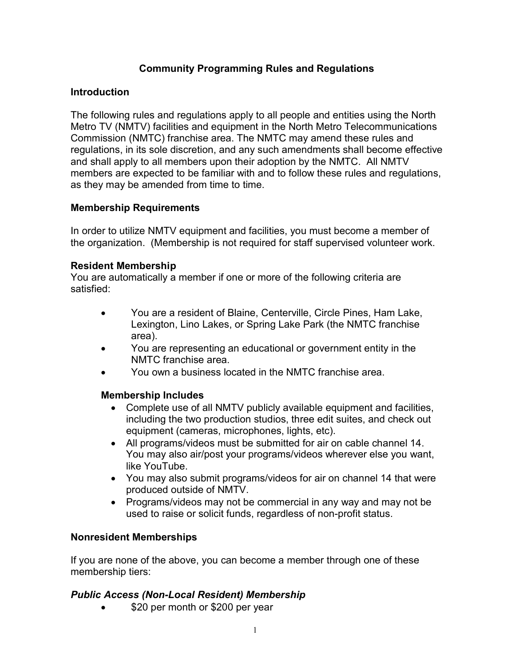# Community Programming Rules and Regulations

### Introduction

The following rules and regulations apply to all people and entities using the North Metro TV (NMTV) facilities and equipment in the North Metro Telecommunications Commission (NMTC) franchise area. The NMTC may amend these rules and regulations, in its sole discretion, and any such amendments shall become effective and shall apply to all members upon their adoption by the NMTC. All NMTV members are expected to be familiar with and to follow these rules and regulations, as they may be amended from time to time.

### Membership Requirements

In order to utilize NMTV equipment and facilities, you must become a member of the organization. (Membership is not required for staff supervised volunteer work.

### Resident Membership

You are automatically a member if one or more of the following criteria are satisfied:

- You are a resident of Blaine, Centerville, Circle Pines, Ham Lake, Lexington, Lino Lakes, or Spring Lake Park (the NMTC franchise area).
- You are representing an educational or government entity in the NMTC franchise area.
- You own a business located in the NMTC franchise area.

### Membership Includes

- Complete use of all NMTV publicly available equipment and facilities, including the two production studios, three edit suites, and check out equipment (cameras, microphones, lights, etc).
- All programs/videos must be submitted for air on cable channel 14. You may also air/post your programs/videos wherever else you want, like YouTube.
- You may also submit programs/videos for air on channel 14 that were produced outside of NMTV.
- Programs/videos may not be commercial in any way and may not be used to raise or solicit funds, regardless of non-profit status.

## Nonresident Memberships

If you are none of the above, you can become a member through one of these membership tiers:

### Public Access (Non-Local Resident) Membership

\$20 per month or \$200 per year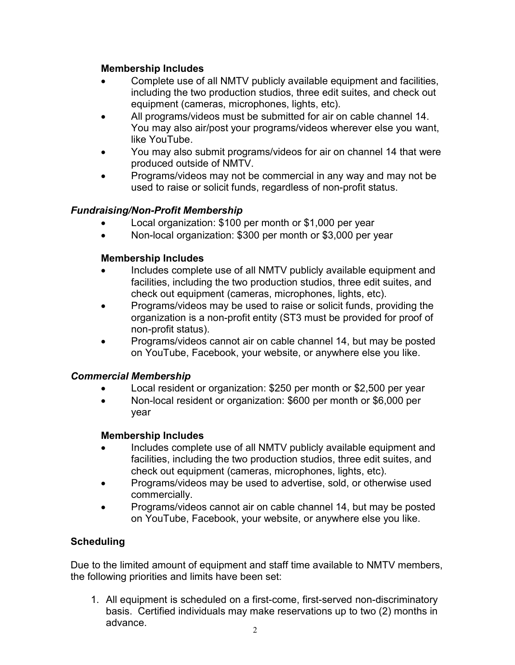## Membership Includes

- Complete use of all NMTV publicly available equipment and facilities, including the two production studios, three edit suites, and check out equipment (cameras, microphones, lights, etc).
- All programs/videos must be submitted for air on cable channel 14. You may also air/post your programs/videos wherever else you want, like YouTube.
- You may also submit programs/videos for air on channel 14 that were produced outside of NMTV.
- Programs/videos may not be commercial in any way and may not be used to raise or solicit funds, regardless of non-profit status.

# Fundraising/Non-Profit Membership

- Local organization: \$100 per month or \$1,000 per year
- Non-local organization: \$300 per month or \$3,000 per year

# Membership Includes

- Includes complete use of all NMTV publicly available equipment and facilities, including the two production studios, three edit suites, and check out equipment (cameras, microphones, lights, etc).
- Programs/videos may be used to raise or solicit funds, providing the organization is a non-profit entity (ST3 must be provided for proof of non-profit status).
- Programs/videos cannot air on cable channel 14, but may be posted on YouTube, Facebook, your website, or anywhere else you like.

## Commercial Membership

- Local resident or organization: \$250 per month or \$2,500 per year
- Non-local resident or organization: \$600 per month or \$6,000 per year

## Membership Includes

- Includes complete use of all NMTV publicly available equipment and facilities, including the two production studios, three edit suites, and check out equipment (cameras, microphones, lights, etc).
- Programs/videos may be used to advertise, sold, or otherwise used commercially.
- Programs/videos cannot air on cable channel 14, but may be posted on YouTube, Facebook, your website, or anywhere else you like.

# **Scheduling**

Due to the limited amount of equipment and staff time available to NMTV members, the following priorities and limits have been set:

1. All equipment is scheduled on a first-come, first-served non-discriminatory basis. Certified individuals may make reservations up to two (2) months in advance.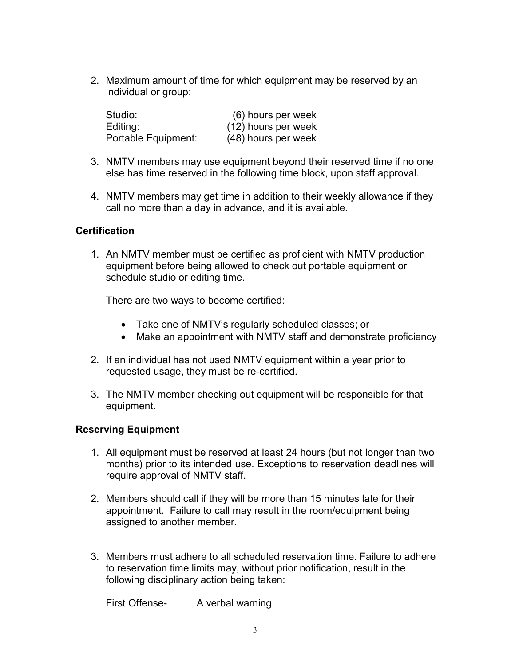2. Maximum amount of time for which equipment may be reserved by an individual or group:

| Studio:             | (6) hours per week  |
|---------------------|---------------------|
| Editing:            | (12) hours per week |
| Portable Equipment: | (48) hours per week |

- 3. NMTV members may use equipment beyond their reserved time if no one else has time reserved in the following time block, upon staff approval.
- 4. NMTV members may get time in addition to their weekly allowance if they call no more than a day in advance, and it is available.

### **Certification**

1. An NMTV member must be certified as proficient with NMTV production equipment before being allowed to check out portable equipment or schedule studio or editing time.

There are two ways to become certified:

- Take one of NMTV's regularly scheduled classes; or
- Make an appointment with NMTV staff and demonstrate proficiency
- 2. If an individual has not used NMTV equipment within a year prior to requested usage, they must be re-certified.
- 3. The NMTV member checking out equipment will be responsible for that equipment.

### Reserving Equipment

- 1. All equipment must be reserved at least 24 hours (but not longer than two months) prior to its intended use. Exceptions to reservation deadlines will require approval of NMTV staff.
- 2. Members should call if they will be more than 15 minutes late for their appointment. Failure to call may result in the room/equipment being assigned to another member.
- 3. Members must adhere to all scheduled reservation time. Failure to adhere to reservation time limits may, without prior notification, result in the following disciplinary action being taken:

First Offense-<br>
A verbal warning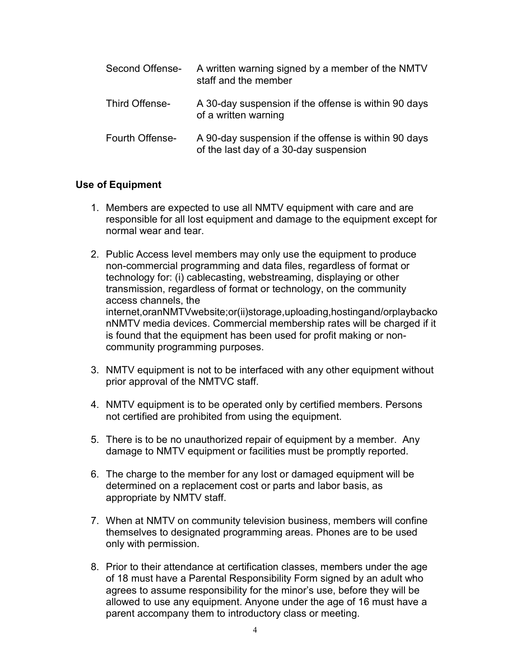| Second Offense- | A written warning signed by a member of the NMTV<br>staff and the member                       |
|-----------------|------------------------------------------------------------------------------------------------|
| Third Offense-  | A 30-day suspension if the offense is within 90 days<br>of a written warning                   |
| Fourth Offense- | A 90-day suspension if the offense is within 90 days<br>of the last day of a 30-day suspension |

### Use of Equipment

- 1. Members are expected to use all NMTV equipment with care and are responsible for all lost equipment and damage to the equipment except for normal wear and tear.
- 2. Public Access level members may only use the equipment to produce non-commercial programming and data files, regardless of format or technology for: (i) cablecasting, webstreaming, displaying or other transmission, regardless of format or technology, on the community access channels, the internet,oranNMTVwebsite;or(ii)storage,uploading,hostingand/orplaybacko nNMTV media devices. Commercial membership rates will be charged if it is found that the equipment has been used for profit making or noncommunity programming purposes.
- 3. NMTV equipment is not to be interfaced with any other equipment without prior approval of the NMTVC staff.
- 4. NMTV equipment is to be operated only by certified members. Persons not certified are prohibited from using the equipment.
- 5. There is to be no unauthorized repair of equipment by a member. Any damage to NMTV equipment or facilities must be promptly reported.
- 6. The charge to the member for any lost or damaged equipment will be determined on a replacement cost or parts and labor basis, as appropriate by NMTV staff.
- 7. When at NMTV on community television business, members will confine themselves to designated programming areas. Phones are to be used only with permission.
- 8. Prior to their attendance at certification classes, members under the age of 18 must have a Parental Responsibility Form signed by an adult who agrees to assume responsibility for the minor's use, before they will be allowed to use any equipment. Anyone under the age of 16 must have a parent accompany them to introductory class or meeting.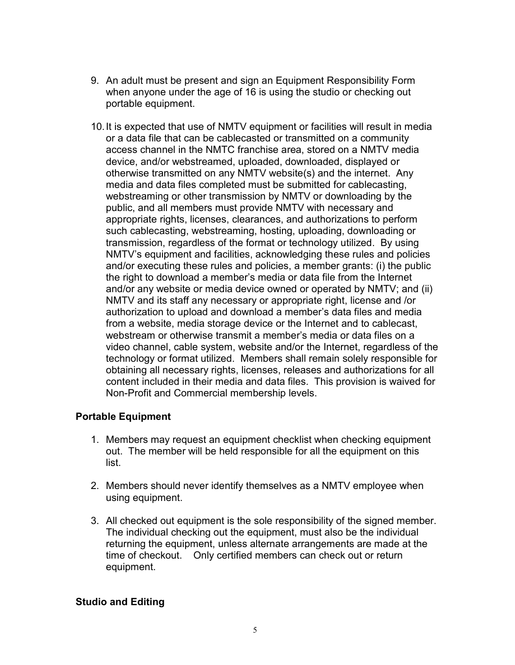- 9. An adult must be present and sign an Equipment Responsibility Form when anyone under the age of 16 is using the studio or checking out portable equipment.
- 10. It is expected that use of NMTV equipment or facilities will result in media or a data file that can be cablecasted or transmitted on a community access channel in the NMTC franchise area, stored on a NMTV media device, and/or webstreamed, uploaded, downloaded, displayed or otherwise transmitted on any NMTV website(s) and the internet. Any media and data files completed must be submitted for cablecasting, webstreaming or other transmission by NMTV or downloading by the public, and all members must provide NMTV with necessary and appropriate rights, licenses, clearances, and authorizations to perform such cablecasting, webstreaming, hosting, uploading, downloading or transmission, regardless of the format or technology utilized. By using NMTV's equipment and facilities, acknowledging these rules and policies and/or executing these rules and policies, a member grants: (i) the public the right to download a member's media or data file from the Internet and/or any website or media device owned or operated by NMTV; and (ii) NMTV and its staff any necessary or appropriate right, license and /or authorization to upload and download a member's data files and media from a website, media storage device or the Internet and to cablecast, webstream or otherwise transmit a member's media or data files on a video channel, cable system, website and/or the Internet, regardless of the technology or format utilized. Members shall remain solely responsible for obtaining all necessary rights, licenses, releases and authorizations for all content included in their media and data files. This provision is waived for Non-Profit and Commercial membership levels.

### Portable Equipment

- 1. Members may request an equipment checklist when checking equipment out. The member will be held responsible for all the equipment on this list.
- 2. Members should never identify themselves as a NMTV employee when using equipment.
- 3. All checked out equipment is the sole responsibility of the signed member. The individual checking out the equipment, must also be the individual returning the equipment, unless alternate arrangements are made at the time of checkout. Only certified members can check out or return equipment.

## Studio and Editing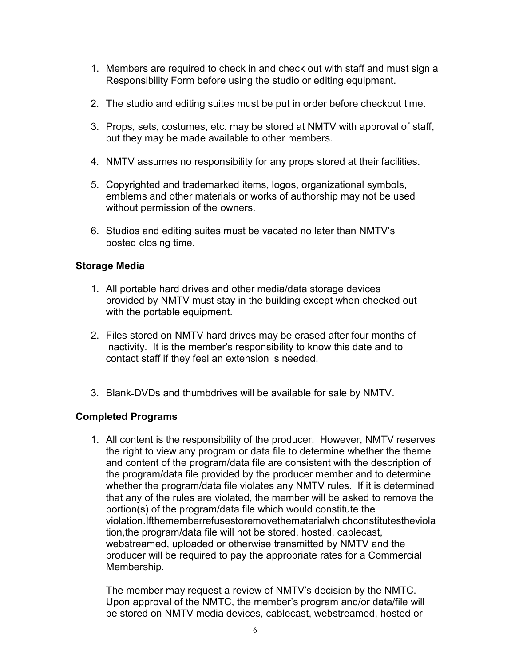- 1. Members are required to check in and check out with staff and must sign a Responsibility Form before using the studio or editing equipment.
- 2. The studio and editing suites must be put in order before checkout time.
- 3. Props, sets, costumes, etc. may be stored at NMTV with approval of staff, but they may be made available to other members.
- 4. NMTV assumes no responsibility for any props stored at their facilities.
- 5. Copyrighted and trademarked items, logos, organizational symbols, emblems and other materials or works of authorship may not be used without permission of the owners.
- 6. Studios and editing suites must be vacated no later than NMTV's posted closing time.

#### Storage Media

- 1. All portable hard drives and other media/data storage devices provided by NMTV must stay in the building except when checked out with the portable equipment.
- 2. Files stored on NMTV hard drives may be erased after four months of inactivity. It is the member's responsibility to know this date and to contact staff if they feel an extension is needed.
- 3. Blank DVDs and thumbdrives will be available for sale by NMTV.

### Completed Programs

1. All content is the responsibility of the producer. However, NMTV reserves the right to view any program or data file to determine whether the theme and content of the program/data file are consistent with the description of the program/data file provided by the producer member and to determine whether the program/data file violates any NMTV rules. If it is determined that any of the rules are violated, the member will be asked to remove the portion(s) of the program/data file which would constitute the violation.Ifthememberrefusestoremovethematerialwhichconstitutestheviola tion,the program/data file will not be stored, hosted, cablecast, webstreamed, uploaded or otherwise transmitted by NMTV and the producer will be required to pay the appropriate rates for a Commercial Membership.

The member may request a review of NMTV's decision by the NMTC. Upon approval of the NMTC, the member's program and/or data/file will be stored on NMTV media devices, cablecast, webstreamed, hosted or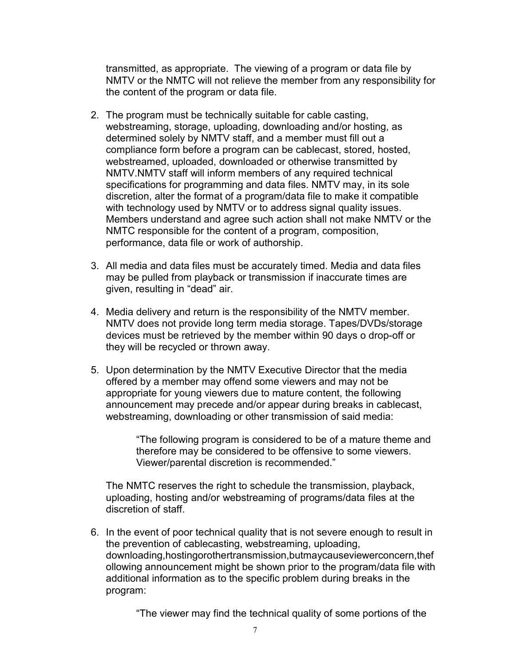transmitted, as appropriate. The viewing of a program or data file by NMTV or the NMTC will not relieve the member from any responsibility for the content of the program or data file.

- 2. The program must be technically suitable for cable casting, webstreaming, storage, uploading, downloading and/or hosting, as determined solely by NMTV staff, and a member must fill out a compliance form before a program can be cablecast, stored, hosted, webstreamed, uploaded, downloaded or otherwise transmitted by NMTV.NMTV staff will inform members of any required technical specifications for programming and data files. NMTV may, in its sole discretion, alter the format of a program/data file to make it compatible with technology used by NMTV or to address signal quality issues. Members understand and agree such action shall not make NMTV or the NMTC responsible for the content of a program, composition, performance, data file or work of authorship.
- 3. All media and data files must be accurately timed. Media and data files may be pulled from playback or transmission if inaccurate times are given, resulting in "dead" air.
- 4. Media delivery and return is the responsibility of the NMTV member. NMTV does not provide long term media storage. Tapes/DVDs/storage devices must be retrieved by the member within 90 days o drop-off or they will be recycled or thrown away.
- 5. Upon determination by the NMTV Executive Director that the media offered by a member may offend some viewers and may not be appropriate for young viewers due to mature content, the following announcement may precede and/or appear during breaks in cablecast, webstreaming, downloading or other transmission of said media:

"The following program is considered to be of a mature theme and therefore may be considered to be offensive to some viewers. Viewer/parental discretion is recommended."

The NMTC reserves the right to schedule the transmission, playback, uploading, hosting and/or webstreaming of programs/data files at the discretion of staff.

6. In the event of poor technical quality that is not severe enough to result in the prevention of cablecasting, webstreaming, uploading, downloading,hostingorothertransmission,butmaycauseviewerconcern,thef ollowing announcement might be shown prior to the program/data file with additional information as to the specific problem during breaks in the program:

"The viewer may find the technical quality of some portions of the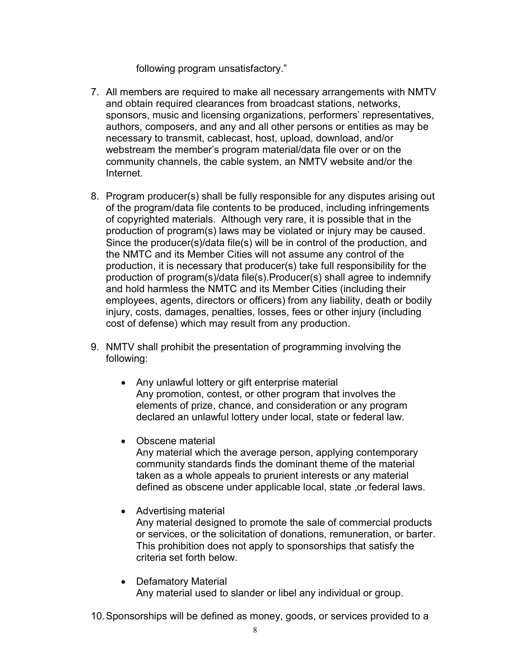following program unsatisfactory."

- 7. All members are required to make all necessary arrangements with NMTV and obtain required clearances from broadcast stations, networks, sponsors, music and licensing organizations, performers' representatives, authors, composers, and any and all other persons or entities as may be necessary to transmit, cablecast, host, upload, download, and/or webstream the member's program material/data file over or on the community channels, the cable system, an NMTV website and/or the **Internet**
- 8. Program producer(s) shall be fully responsible for any disputes arising out of the program/data file contents to be produced, including infringements of copyrighted materials. Although very rare, it is possible that in the production of program(s) laws may be violated or injury may be caused. Since the producer(s)/data file(s) will be in control of the production, and the NMTC and its Member Cities will not assume any control of the production, it is necessary that producer(s) take full responsibility for the production of program(s)/data file(s).Producer(s) shall agree to indemnify and hold harmless the NMTC and its Member Cities (including their employees, agents, directors or officers) from any liability, death or bodily injury, costs, damages, penalties, losses, fees or other injury (including cost of defense) which may result from any production.
- 9. NMTV shall prohibit the presentation of programming involving the following:
	- Any unlawful lottery or gift enterprise material Any promotion, contest, or other program that involves the elements of prize, chance, and consideration or any program declared an unlawful lottery under local, state or federal law.
	- Obscene material

Any material which the average person, applying contemporary community standards finds the dominant theme of the material taken as a whole appeals to prurient interests or any material defined as obscene under applicable local, state ,or federal laws.

- Advertising material Any material designed to promote the sale of commercial products or services, or the solicitation of donations, remuneration, or barter. This prohibition does not apply to sponsorships that satisfy the criteria set forth below.
- Defamatory Material Any material used to slander or libel any individual or group.

10. Sponsorships will be defined as money, goods, or services provided to a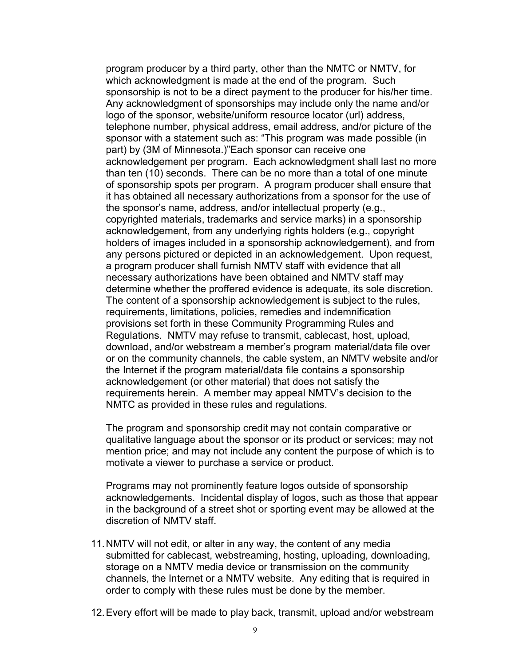program producer by a third party, other than the NMTC or NMTV, for which acknowledgment is made at the end of the program. Such sponsorship is not to be a direct payment to the producer for his/her time. Any acknowledgment of sponsorships may include only the name and/or logo of the sponsor, website/uniform resource locator (url) address, telephone number, physical address, email address, and/or picture of the sponsor with a statement such as: "This program was made possible (in part) by (3M of Minnesota.)"Each sponsor can receive one acknowledgement per program. Each acknowledgment shall last no more than ten (10) seconds. There can be no more than a total of one minute of sponsorship spots per program. A program producer shall ensure that it has obtained all necessary authorizations from a sponsor for the use of the sponsor's name, address, and/or intellectual property (e.g., copyrighted materials, trademarks and service marks) in a sponsorship acknowledgement, from any underlying rights holders (e.g., copyright holders of images included in a sponsorship acknowledgement), and from any persons pictured or depicted in an acknowledgement. Upon request, a program producer shall furnish NMTV staff with evidence that all necessary authorizations have been obtained and NMTV staff may determine whether the proffered evidence is adequate, its sole discretion. The content of a sponsorship acknowledgement is subject to the rules, requirements, limitations, policies, remedies and indemnification provisions set forth in these Community Programming Rules and Regulations. NMTV may refuse to transmit, cablecast, host, upload, download, and/or webstream a member's program material/data file over or on the community channels, the cable system, an NMTV website and/or the Internet if the program material/data file contains a sponsorship acknowledgement (or other material) that does not satisfy the requirements herein. A member may appeal NMTV's decision to the NMTC as provided in these rules and regulations.

The program and sponsorship credit may not contain comparative or qualitative language about the sponsor or its product or services; may not mention price; and may not include any content the purpose of which is to motivate a viewer to purchase a service or product.

Programs may not prominently feature logos outside of sponsorship acknowledgements. Incidental display of logos, such as those that appear in the background of a street shot or sporting event may be allowed at the discretion of NMTV staff.

- 11. NMTV will not edit, or alter in any way, the content of any media submitted for cablecast, webstreaming, hosting, uploading, downloading, storage on a NMTV media device or transmission on the community channels, the Internet or a NMTV website. Any editing that is required in order to comply with these rules must be done by the member.
- 12. Every effort will be made to play back, transmit, upload and/or webstream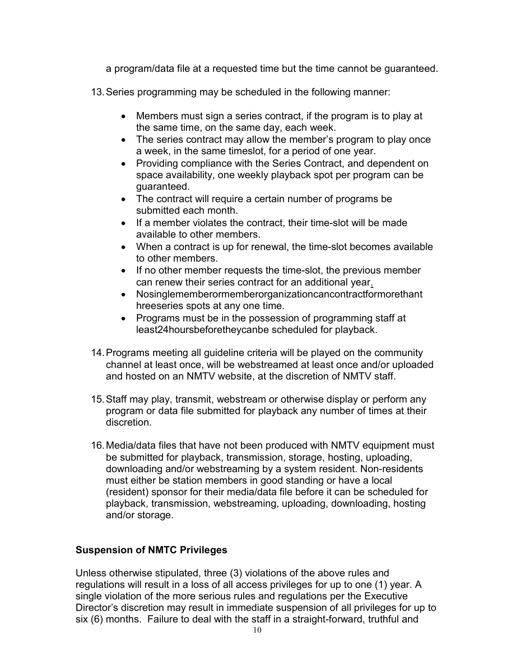a program/data file at a requested time but the time cannot be guaranteed.

- 13. Series programming may be scheduled in the following manner:
	- Members must sign a series contract, if the program is to play at the same time, on the same day, each week.
	- The series contract may allow the member's program to play once a week, in the same timeslot, for a period of one year.
	- Providing compliance with the Series Contract, and dependent on space availability, one weekly playback spot per program can be guaranteed.
	- The contract will require a certain number of programs be submitted each month.
	- If a member violates the contract, their time-slot will be made available to other members.
	- When a contract is up for renewal, the time-slot becomes available to other members.
	- If no other member requests the time-slot, the previous member can renew their series contract for an additional year.
	- Nosinglememberormemberorganizationcancontractformorethant hreeseries spots at any one time.
	- Programs must be in the possession of programming staff at least24hoursbeforetheycanbe scheduled for playback.
- 14. Programs meeting all guideline criteria will be played on the community channel at least once, will be webstreamed at least once and/or uploaded and hosted on an NMTV website, at the discretion of NMTV staff.
- 15. Staff may play, transmit, webstream or otherwise display or perform any program or data file submitted for playback any number of times at their discretion.
- 16. Media/data files that have not been produced with NMTV equipment must be submitted for playback, transmission, storage, hosting, uploading, downloading and/or webstreaming by a system resident. Non-residents must either be station members in good standing or have a local (resident) sponsor for their media/data file before it can be scheduled for playback, transmission, webstreaming, uploading, downloading, hosting and/or storage.

## Suspension of NMTC Privileges

Unless otherwise stipulated, three (3) violations of the above rules and regulations will result in a loss of all access privileges for up to one (1) year. A single violation of the more serious rules and regulations per the Executive Director's discretion may result in immediate suspension of all privileges for up to six (6) months. Failure to deal with the staff in a straight-forward, truthful and